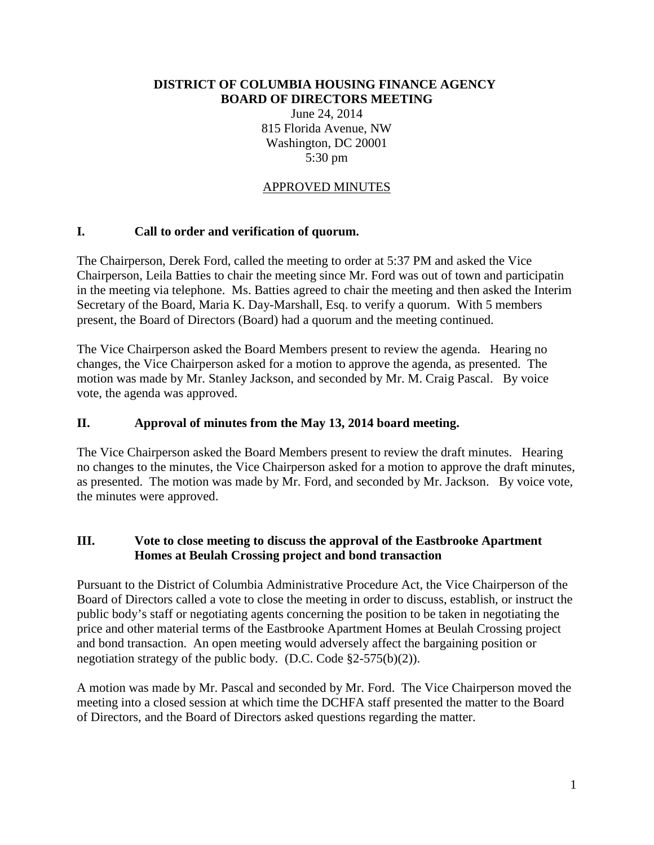#### **DISTRICT OF COLUMBIA HOUSING FINANCE AGENCY BOARD OF DIRECTORS MEETING**

June 24, 2014 815 Florida Avenue, NW Washington, DC 20001 5:30 pm

### APPROVED MINUTES

### **I. Call to order and verification of quorum.**

The Chairperson, Derek Ford, called the meeting to order at 5:37 PM and asked the Vice Chairperson, Leila Batties to chair the meeting since Mr. Ford was out of town and participatin in the meeting via telephone. Ms. Batties agreed to chair the meeting and then asked the Interim Secretary of the Board, Maria K. Day-Marshall, Esq. to verify a quorum. With 5 members present, the Board of Directors (Board) had a quorum and the meeting continued.

The Vice Chairperson asked the Board Members present to review the agenda. Hearing no changes, the Vice Chairperson asked for a motion to approve the agenda, as presented. The motion was made by Mr. Stanley Jackson, and seconded by Mr. M. Craig Pascal. By voice vote, the agenda was approved.

### **II. Approval of minutes from the May 13, 2014 board meeting.**

The Vice Chairperson asked the Board Members present to review the draft minutes. Hearing no changes to the minutes, the Vice Chairperson asked for a motion to approve the draft minutes, as presented. The motion was made by Mr. Ford, and seconded by Mr. Jackson. By voice vote, the minutes were approved.

### **III. Vote to close meeting to discuss the approval of the Eastbrooke Apartment Homes at Beulah Crossing project and bond transaction**

Pursuant to the District of Columbia Administrative Procedure Act, the Vice Chairperson of the Board of Directors called a vote to close the meeting in order to discuss, establish, or instruct the public body's staff or negotiating agents concerning the position to be taken in negotiating the price and other material terms of the Eastbrooke Apartment Homes at Beulah Crossing project and bond transaction. An open meeting would adversely affect the bargaining position or negotiation strategy of the public body. (D.C. Code §2-575(b)(2)).

A motion was made by Mr. Pascal and seconded by Mr. Ford. The Vice Chairperson moved the meeting into a closed session at which time the DCHFA staff presented the matter to the Board of Directors, and the Board of Directors asked questions regarding the matter.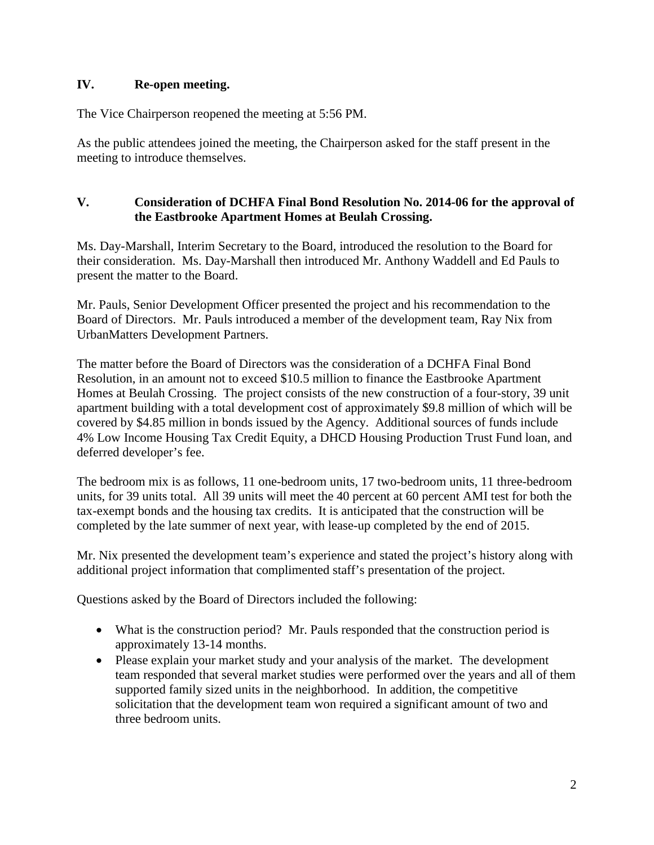# **IV. Re-open meeting.**

The Vice Chairperson reopened the meeting at 5:56 PM.

As the public attendees joined the meeting, the Chairperson asked for the staff present in the meeting to introduce themselves.

# **V. Consideration of DCHFA Final Bond Resolution No. 2014-06 for the approval of the Eastbrooke Apartment Homes at Beulah Crossing.**

Ms. Day-Marshall, Interim Secretary to the Board, introduced the resolution to the Board for their consideration. Ms. Day-Marshall then introduced Mr. Anthony Waddell and Ed Pauls to present the matter to the Board.

Mr. Pauls, Senior Development Officer presented the project and his recommendation to the Board of Directors. Mr. Pauls introduced a member of the development team, Ray Nix from UrbanMatters Development Partners.

The matter before the Board of Directors was the consideration of a DCHFA Final Bond Resolution, in an amount not to exceed \$10.5 million to finance the Eastbrooke Apartment Homes at Beulah Crossing. The project consists of the new construction of a four-story, 39 unit apartment building with a total development cost of approximately \$9.8 million of which will be covered by \$4.85 million in bonds issued by the Agency. Additional sources of funds include 4% Low Income Housing Tax Credit Equity, a DHCD Housing Production Trust Fund loan, and deferred developer's fee.

The bedroom mix is as follows, 11 one-bedroom units, 17 two-bedroom units, 11 three-bedroom units, for 39 units total. All 39 units will meet the 40 percent at 60 percent AMI test for both the tax-exempt bonds and the housing tax credits. It is anticipated that the construction will be completed by the late summer of next year, with lease-up completed by the end of 2015.

Mr. Nix presented the development team's experience and stated the project's history along with additional project information that complimented staff's presentation of the project.

Questions asked by the Board of Directors included the following:

- What is the construction period? Mr. Pauls responded that the construction period is approximately 13-14 months.
- Please explain your market study and your analysis of the market. The development team responded that several market studies were performed over the years and all of them supported family sized units in the neighborhood. In addition, the competitive solicitation that the development team won required a significant amount of two and three bedroom units.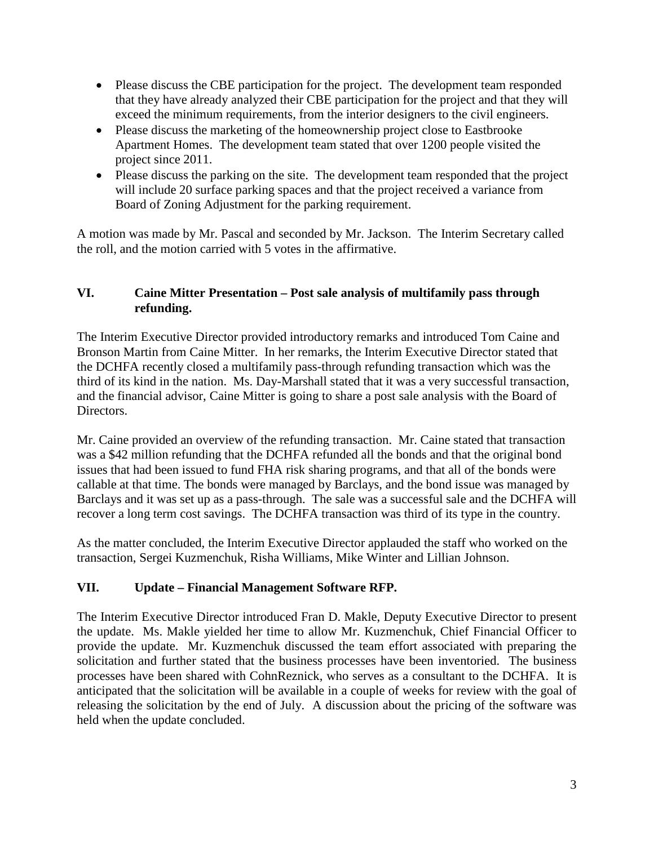- Please discuss the CBE participation for the project. The development team responded that they have already analyzed their CBE participation for the project and that they will exceed the minimum requirements, from the interior designers to the civil engineers.
- Please discuss the marketing of the homeownership project close to Eastbrooke Apartment Homes. The development team stated that over 1200 people visited the project since 2011.
- Please discuss the parking on the site. The development team responded that the project will include 20 surface parking spaces and that the project received a variance from Board of Zoning Adjustment for the parking requirement.

A motion was made by Mr. Pascal and seconded by Mr. Jackson. The Interim Secretary called the roll, and the motion carried with 5 votes in the affirmative.

# **VI. Caine Mitter Presentation – Post sale analysis of multifamily pass through refunding.**

The Interim Executive Director provided introductory remarks and introduced Tom Caine and Bronson Martin from Caine Mitter. In her remarks, the Interim Executive Director stated that the DCHFA recently closed a multifamily pass-through refunding transaction which was the third of its kind in the nation. Ms. Day-Marshall stated that it was a very successful transaction, and the financial advisor, Caine Mitter is going to share a post sale analysis with the Board of Directors.

Mr. Caine provided an overview of the refunding transaction. Mr. Caine stated that transaction was a \$42 million refunding that the DCHFA refunded all the bonds and that the original bond issues that had been issued to fund FHA risk sharing programs, and that all of the bonds were callable at that time. The bonds were managed by Barclays, and the bond issue was managed by Barclays and it was set up as a pass-through. The sale was a successful sale and the DCHFA will recover a long term cost savings. The DCHFA transaction was third of its type in the country.

As the matter concluded, the Interim Executive Director applauded the staff who worked on the transaction, Sergei Kuzmenchuk, Risha Williams, Mike Winter and Lillian Johnson.

# **VII. Update – Financial Management Software RFP.**

The Interim Executive Director introduced Fran D. Makle, Deputy Executive Director to present the update. Ms. Makle yielded her time to allow Mr. Kuzmenchuk, Chief Financial Officer to provide the update. Mr. Kuzmenchuk discussed the team effort associated with preparing the solicitation and further stated that the business processes have been inventoried. The business processes have been shared with CohnReznick, who serves as a consultant to the DCHFA. It is anticipated that the solicitation will be available in a couple of weeks for review with the goal of releasing the solicitation by the end of July. A discussion about the pricing of the software was held when the update concluded.